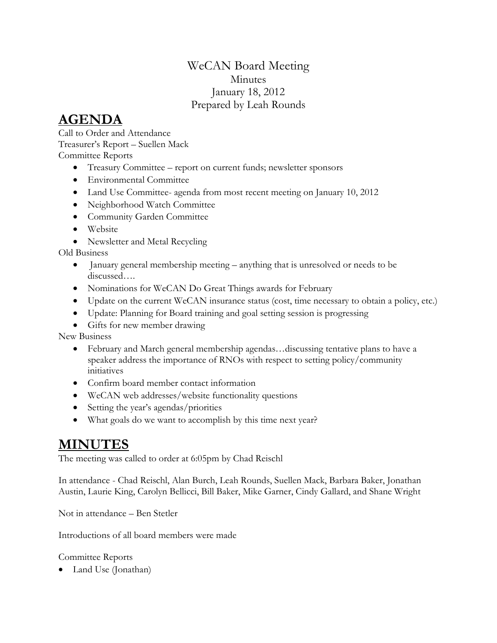## WeCAN Board Meeting Minutes January 18, 2012 Prepared by Leah Rounds

## **AGENDA**

Call to Order and Attendance Treasurer's Report – Suellen Mack Committee Reports

- Treasury Committee report on current funds; newsletter sponsors
- Environmental Committee
- Land Use Committee- agenda from most recent meeting on January 10, 2012
- Neighborhood Watch Committee
- Community Garden Committee
- Website
- Newsletter and Metal Recycling

Old Business

- January general membership meeting anything that is unresolved or needs to be discussed….
- Nominations for WeCAN Do Great Things awards for February
- Update on the current WeCAN insurance status (cost, time necessary to obtain a policy, etc.)
- Update: Planning for Board training and goal setting session is progressing
- Gifts for new member drawing

New Business

- February and March general membership agendas...discussing tentative plans to have a speaker address the importance of RNOs with respect to setting policy/community initiatives
- Confirm board member contact information
- WeCAN web addresses/website functionality questions
- Setting the year's agendas/priorities
- What goals do we want to accomplish by this time next year?

## **MINUTES**

The meeting was called to order at 6:05pm by Chad Reischl

In attendance - Chad Reischl, Alan Burch, Leah Rounds, Suellen Mack, Barbara Baker, Jonathan Austin, Laurie King, Carolyn Bellicci, Bill Baker, Mike Garner, Cindy Gallard, and Shane Wright

Not in attendance – Ben Stetler

Introductions of all board members were made

Committee Reports

• Land Use (Jonathan)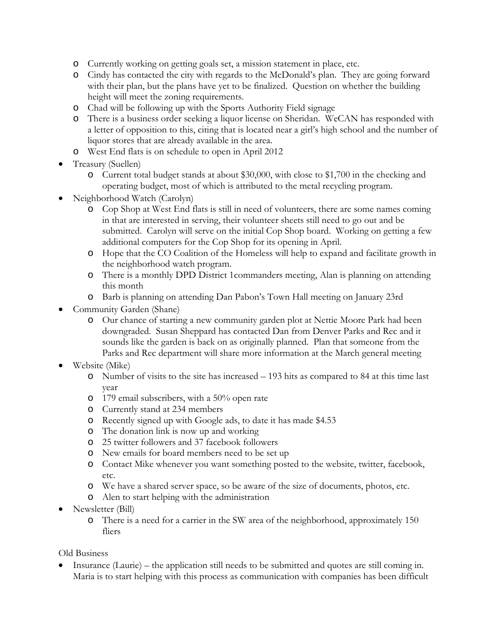- o Currently working on getting goals set, a mission statement in place, etc.
- o Cindy has contacted the city with regards to the McDonald's plan. They are going forward with their plan, but the plans have yet to be finalized. Question on whether the building height will meet the zoning requirements.
- o Chad will be following up with the Sports Authority Field signage
- o There is a business order seeking a liquor license on Sheridan. WeCAN has responded with a letter of opposition to this, citing that is located near a girl's high school and the number of liquor stores that are already available in the area.
- o West End flats is on schedule to open in April 2012
- Treasury (Suellen)
	- o Current total budget stands at about \$30,000, with close to \$1,700 in the checking and operating budget, most of which is attributed to the metal recycling program.
- Neighborhood Watch (Carolyn)
	- o Cop Shop at West End flats is still in need of volunteers, there are some names coming in that are interested in serving, their volunteer sheets still need to go out and be submitted. Carolyn will serve on the initial Cop Shop board. Working on getting a few additional computers for the Cop Shop for its opening in April.
	- o Hope that the CO Coalition of the Homeless will help to expand and facilitate growth in the neighborhood watch program.
	- o There is a monthly DPD District 1commanders meeting, Alan is planning on attending this month
	- o Barb is planning on attending Dan Pabon's Town Hall meeting on January 23rd
- Community Garden (Shane)
	- o Our chance of starting a new community garden plot at Nettie Moore Park had been downgraded. Susan Sheppard has contacted Dan from Denver Parks and Rec and it sounds like the garden is back on as originally planned. Plan that someone from the Parks and Rec department will share more information at the March general meeting
- Website (Mike)
	- o Number of visits to the site has increased 193 hits as compared to 84 at this time last year
	- o 179 email subscribers, with a 50% open rate
	- o Currently stand at 234 members
	- o Recently signed up with Google ads, to date it has made \$4.53
	- o The donation link is now up and working
	- o 25 twitter followers and 37 facebook followers
	- o New emails for board members need to be set up
	- o Contact Mike whenever you want something posted to the website, twitter, facebook, etc.
	- o We have a shared server space, so be aware of the size of documents, photos, etc.
	- o Alen to start helping with the administration
- Newsletter (Bill)
	- o There is a need for a carrier in the SW area of the neighborhood, approximately 150 fliers

Old Business

• Insurance (Laurie) – the application still needs to be submitted and quotes are still coming in. Maria is to start helping with this process as communication with companies has been difficult